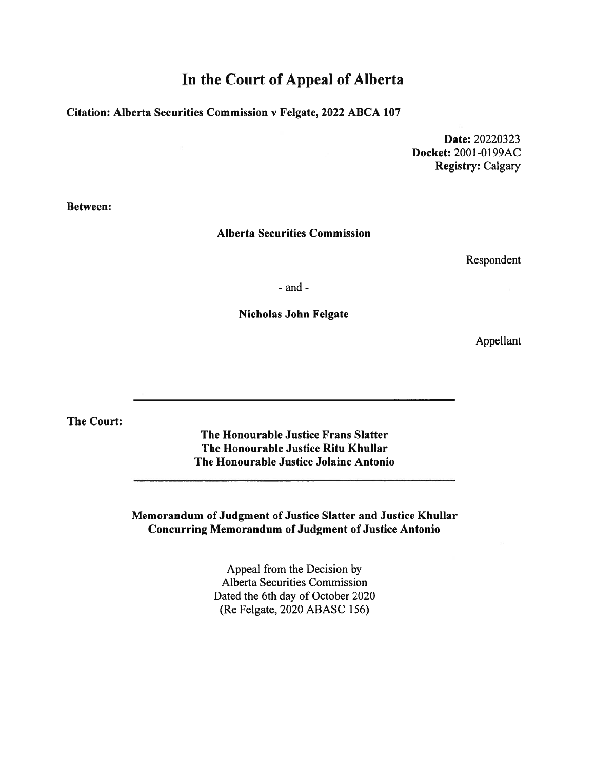## In the Court of Appeal of Alberta

## Citation: Alberta Securities Commission <sup>v</sup> Felgate, 2022 ABCA 107

Date: 20220323 Docket: 2001-0199AC Registry: Calgary

Between:

### Alberta Securities Commission

Respondent

- and -

#### Nicholas John Felgate

Appellant

The Court:

The Honourable Justice Frans Slatter The Honourable Justice Ritu Khullar The Honourable Justice Jolaine Antonio

Memorandum of Judgment of Justice Slatter and Justice Khullar Concurring Memorandum of Judgment of Justice Antonio

> Appeal from the Decision by Alberta Securities Commission Dated the 6th day of October 2020 (Re Felgate, 2020 ABASC 156)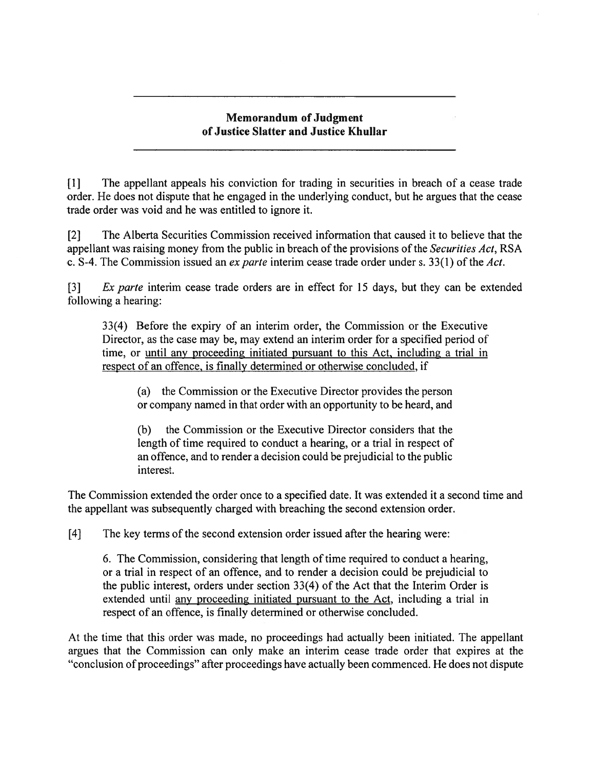### Memorandum of Judgment of Justice Slatter and Justice Khullar

[1] The appellant appeals his conviction for trading in securities in breach of <sup>a</sup> cease trade order. He does not dispute that he engaged in the underlying conduct, but he argues that the cease trade order was void and he was entitled to ignore it.

[2] The Alberta Securities Commission received information that caused it to believe that the appellant was raising money from the public in breach of the provisions of the Securities Act, RSA c. S-4. The Commission issued an *ex parte* interim cease trade order under s. 33(1) of the Act.

[3] Ex parte interim cease trade orders are in effect for 15 days, but they can be extended following <sup>a</sup> hearing:

33(4) Before the expiry of an interim order, the Commission or the Executive Director, as the case may be, may extend an interim order for <sup>a</sup> specified period of time, or until any proceeding initiated pursuan<sup>t</sup> to this Act, including <sup>a</sup> trial in respec<sup>t</sup> of an offence, is finally determined or otherwise concluded, if

(a) the Commission or the Executive Director provides the person or company named in that order with an opportunity to be heard, and

(b) the Commission or the Executive Director considers that the length of time required to conduct <sup>a</sup> hearing, or <sup>a</sup> trial in respec<sup>t</sup> of an offence, and to render <sup>a</sup> decision could be prejudicial to the public interest.

The Commission extended the order once to <sup>a</sup> specified date. It was extended it <sup>a</sup> second time and the appellant was subsequently charged with breaching the second extension order.

[4] The key terms of the second extension order issued after the hearing were:

6. The Commission, considering that length of time required to conduct <sup>a</sup> hearing, or <sup>a</sup> trial in respec<sup>t</sup> of an offence, and to render <sup>a</sup> decision could be prejudicial to the public interest, orders under section 3 3(4) of the Act that the Interim Order is extended until any proceeding initiated pursuant to the Act, including a trial in respec<sup>t</sup> of an offence, is finally determined or otherwise concluded.

At the time that this order was made, no proceedings had actually been initiated. The appellant argues that the Commission can only make an interim cease trade order that expires at the "conclusion of proceedings" after proceedings have actually been commenced. He does not dispute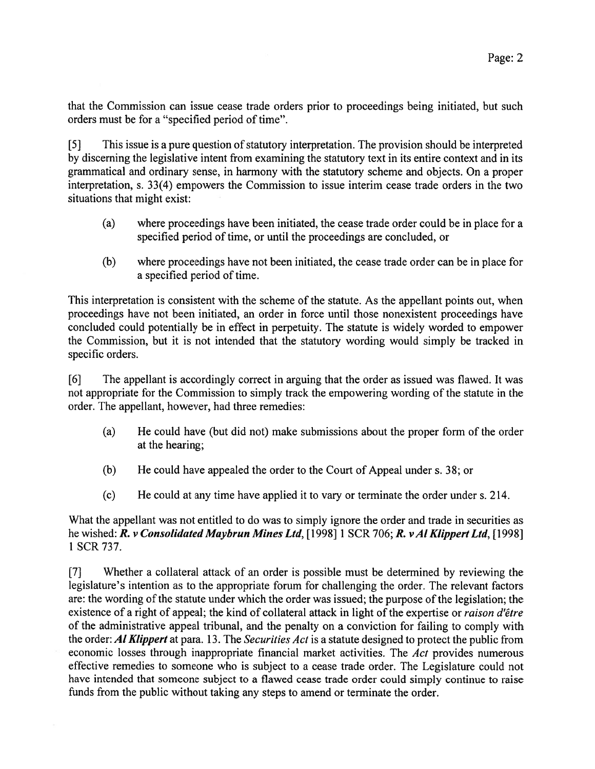that the Commission can issue cease trade orders prior to proceedings being initiated, but such orders must be for <sup>a</sup> "specified period of time".

[5] This issue is a pure question of statutory interpretation. The provision should be interpreted by discerning the legislative intent from examining the statutory text in its entire context and in its grammatical and ordinary sense, in harmony with the statutory scheme and objects. On <sup>a</sup> proper interpretation, s. 33(4) empowers the Commission to issue interim cease trade orders in the two situations that might exist:

- (a) where proceedings have been initiated, the cease trade order could be in place for <sup>a</sup> specified period of time, or until the proceedings are concluded, or
- (b) where proceedings have not been initiated, the cease trade order can be in place for <sup>a</sup> specified period of time.

This interpretation is consistent with the scheme of the statute. As the appellant points out, when proceedings have not been initiated, an order in force until those nonexistent proceedings have concluded could potentially be in effect in perpetuity. The statute is widely worded to empower the Commission, but it is not intended that the statutory wording would simply be tracked in specific orders.

[61 The appellant is accordingly correct in arguing that the order as issued was flawed. It was not appropriate for the Commission to simply track the empowering wording of the statute in the order. The appellant, however, had three remedies:

- (a) He could have (but did not) make submissions about the proper form of the order at the hearing;
- (b) He could have appealed the order to the Court of Appeal under s. 38; or
- (c) He could at any time have applied it to vary or terminate the order under s. 214.

What the appellant was not entitled to do was to simply ignore the order and trade in securities as he wished: R. v Consolidated Maybrun Mines Ltd, [1998] 1 SCR 706; R. v Al Klippert Ltd, [1998] 1 SCR 737.

[7] Whether <sup>a</sup> collateral attack of an order is possible must be determined by reviewing the legislature's intention as to the appropriate forum for challenging the order. The relevant factors are: the wording of the statute under which the order was issued; the purpose of the legislation; the existence of a right of appeal; the kind of collateral attack in light of the expertise or raison d'être of the administrative appeal tribunal, and the penalty on <sup>a</sup> conviction for failing to comply with the order: Al Klippert at para. 13. The Securities Act is a statute designed to protect the public from economic losses through inappropriate financial market activities. The Act provides numerous effective remedies to someone who is subject to <sup>a</sup> cease trade order. The Legislature could not have intended that someone subject to <sup>a</sup> flawed cease trade order could simply continue to raise funds from the public without taking any steps to amend or terminate the order.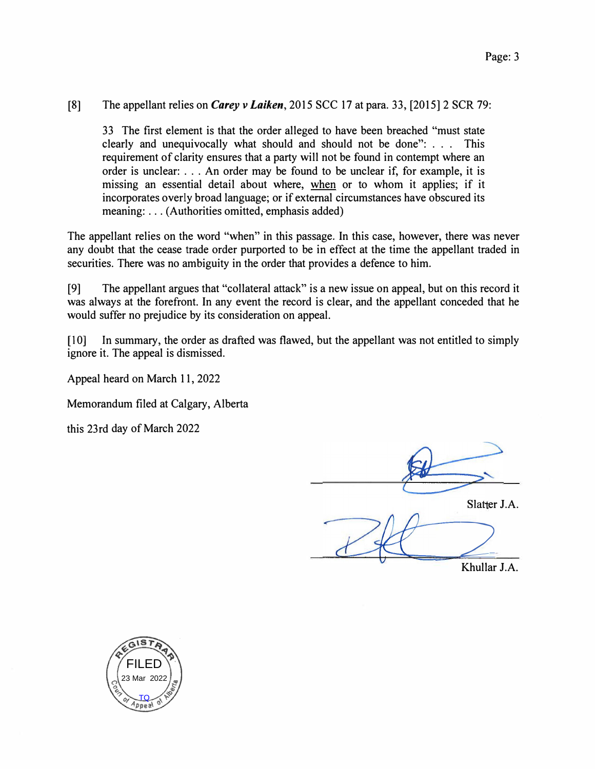### [8] The appellant relies on *Carey v Laiken,* 2015 SCC 17 at para. 33, [2015] 2 SCR 79:

33 The first element is that the order alleged to have been breached "must state clearly and unequivocally what should and should not be done": . . . This requirement of clarity ensures that a party will not be found in contempt where an order is unclear: ... An order may be found to be unclear if, for example, it is missing an essential detail about where, when or to whom it applies; if it incorporates overly broad language; or if external circumstances have obscured its meaning: ... (Authorities omitted, emphasis added)

The appellant relies on the word "when" in this passage. In this case, however, there was never any doubt that the cease trade order purported to be in effect at the time the appellant traded in securities. There was no ambiguity in the order that provides a defence to him.

[9] The appellant argues that "collateral attack" is a new issue on appeal, but on this record it was always at the forefront. In any event the record is clear, and the appellant conceded that he would suffer no prejudice by its consideration on appeal.

[10] In summary, the order as drafted was flawed, but the appellant was not entitled to simply ignore it. The appeal is dismissed.

Appeal heard on March 11, 2022

Memorandum filed at Calgary, Alberta

this 23rd day of March 2022

Slatter J.A. **2**<br>Khullar J.A.

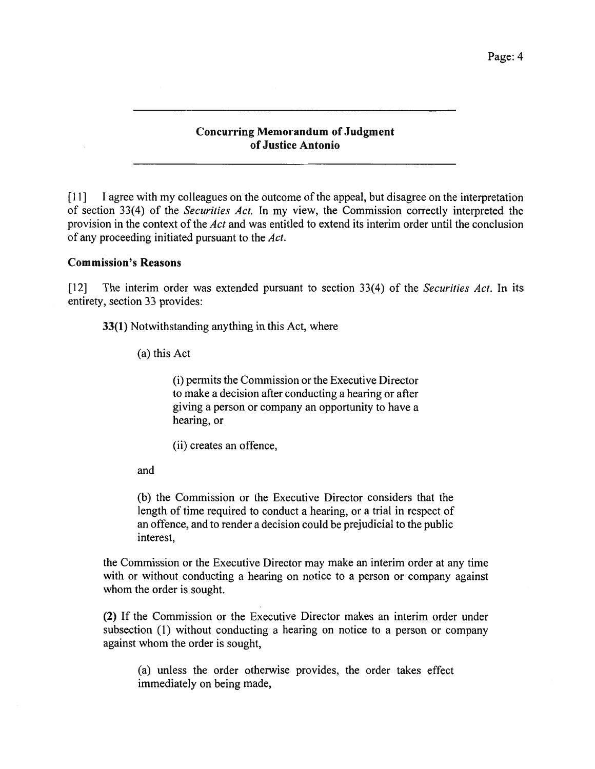#### Concurring Memorandum of Judgment ofJustice Antonio

[11] <sup>I</sup> agree with my colleagues on the outcome of the appeal, but disagree on the interpretation of section 33(4) of the Securities Act. In my view, the Commission correctly interpreted the provision in the context of the Act and was entitled to extend its interim order until the conclusion of any proceeding initiated pursuan<sup>t</sup> to the Act.

#### Commission's Reasons

[12] The interim order was extended pursuant to section 33(4) of the Securities Act. In its entirety, section 33 provides:

33(1) Notwithstanding anything in this Act, where

(a) this Act

(i) permits the Commission or the Executive Director to make <sup>a</sup> decision after conducting <sup>a</sup> hearing or after giving <sup>a</sup> person or company an opportunity to have <sup>a</sup> hearing, or

(ii) creates an offence,

and

(b) the Commission or the Executive Director considers that the length of time required to conduct <sup>a</sup> hearing, or <sup>a</sup> trial in respec<sup>t</sup> of an offence, and to render <sup>a</sup> decision could be prejudicial to the public interest,

the Commission or the Executive Director may make an interim order at any time with or without conducting <sup>a</sup> hearing on notice to <sup>a</sup> person or company against whom the order is sought.

(2) If the Commission or the Executive Director makes an interim order under subsection (1) without conducting <sup>a</sup> hearing on notice to <sup>a</sup> person or company against whom the order is sought,

(a) unless the order otherwise provides, the order takes effect immediately on being made,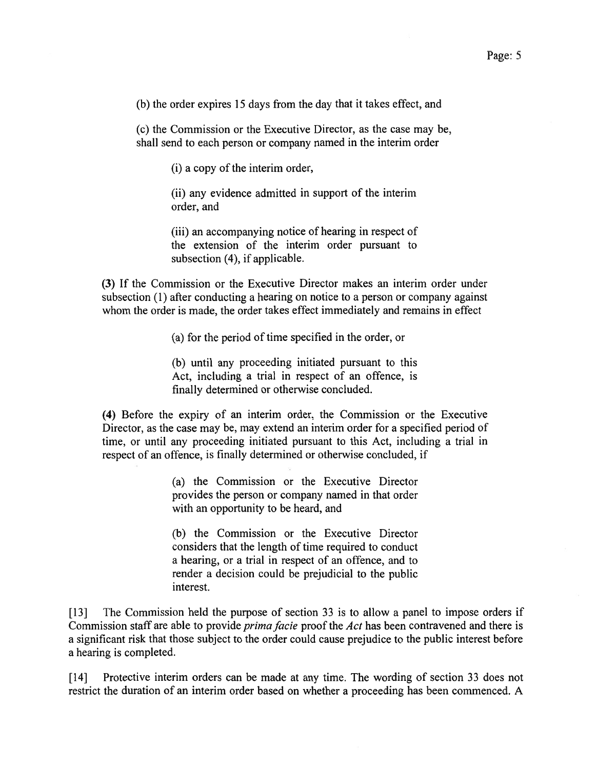(b) the order expires 15 days from the day that it takes effect, and

(c) the Commission or the Executive Director, as the case may be, shall send to each person or company named in the interim order

(i) <sup>a</sup> copy of the interim order,

(ii) any evidence admitted in suppor<sup>t</sup> of the interim order, and

(iii) an accompanying notice of hearing in respec<sup>t</sup> of the extension of the interim order pursuan<sup>t</sup> to subsection (4), if applicable.

(3) If the Commission or the Executive Director makes an interim order under subsection (1) after conducting <sup>a</sup> hearing on notice to <sup>a</sup> person or company against whom the order is made, the order takes effect immediately and remains in effect

(a) for the period of time specified in the order, or

(b) until any proceeding initiated pursuan<sup>t</sup> to this Act, including <sup>a</sup> trial in respec<sup>t</sup> of an offence, is finally determined or otherwise concluded.

(4) Before the expiry of an interim order, the Commission or the Executive Director, as the case may be, may extend an interim order for <sup>a</sup> specified period of time, or until any proceeding initiated pursuan<sup>t</sup> to this Act, including <sup>a</sup> trial in respec<sup>t</sup> of an offence, is finally determined or otherwise concluded, if

> (a) the Commission or the Executive Director provides the person or company named in that order with an opportunity to be heard, and

> (b) the Commission or the Executive Director considers that the length of time required to conduct <sup>a</sup> hearing, or <sup>a</sup> trial in respec<sup>t</sup> of an offence, and to render <sup>a</sup> decision could be prejudicial to the public interest.

[13] The Commission held the purpose of section 33 is to allow <sup>a</sup> panel to impose orders if Commission staff are able to provide *prima facie* proof the Act has been contravened and there is <sup>a</sup> significant risk that those subject to the order could cause prejudice to the public interest before <sup>a</sup> hearing is completed.

[14] Protective interim orders can be made at any time. The wording of section 33 does not restrict the duration of an interim order based on whether <sup>a</sup> proceeding has been commenced. <sup>A</sup>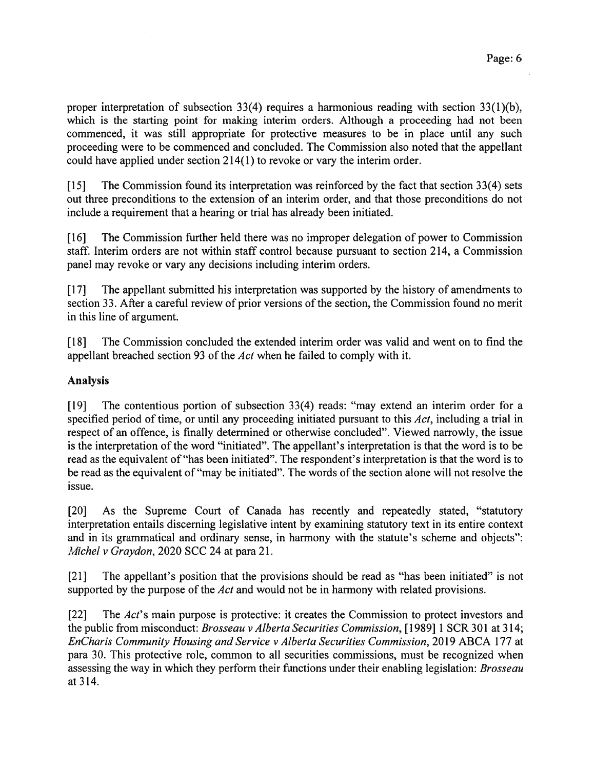proper interpretation of subsection 33(4) requires <sup>a</sup> harmonious reading with section 33(1)(b), which is the starting point for making interim orders. Although a proceeding had not been commenced, it was still appropriate for protective measures to be in place until any such proceeding were to be commenced and concluded. The Commission also noted that the appellant could have applied under section 214(1) to revoke or vary the interim order.

[15] The Commission found its interpretation was reinforced by the fact that section 33(4) sets out three preconditions to the extension of an interim order, and that those preconditions do not include <sup>a</sup> requirement that <sup>a</sup> hearing or trial has already been initiated.

[16] The Commission further held there was no improper delegation of power to Commission staff. Interim orders are not within staff control because pursuan<sup>t</sup> to section 214, <sup>a</sup> Commission panel may revoke or vary any decisions including interim orders.

[17] The appellant submitted his interpretation was supported by the history of amendments to section 33. After <sup>a</sup> careful review of prior versions of the section, the Commission found no merit in this line of argument.

[18] The Commission concluded the extended interim order was valid and went on to find the appellant breached section 93 of the Act when he failed to comply with it.

## Analysis

[19] The contentious portion of subsection 33(4) reads: "may extend an interim order for <sup>a</sup> specified period of time, or until any proceeding initiated pursuant to this Act, including a trial in respec<sup>t</sup> of an offence, is finally determined or otherwise concluded". Viewed narrowly, the issue is the interpretation of the word "initiated". The appellant's interpretation is that the word is to be read as the equivalent of "has been initiated". The respondent's interpretation is that the word is to be read as the equivalent of "may be initiated". The words of the section alone will not resolve the issue.

[20] As the Supreme Court of Canada has recently and repeatedly stated, "statutory interpretation entails discerning legislative intent by examining statutory text in its entire context and in its grammatical and ordinary sense, in harmony with the statute's scheme and objects": Michel <sup>v</sup> Graydon, 2020 SCC 24 at para 21.

[21] The appellant's position that the provisions should be read as "has been initiated" is not supported by the purpose of the Act and would not be in harmony with related provisions.

[22] The Act's main purpose is protective: it creates the Commission to protect investors and the public from misconduct: *Brosseau v Alberta Securities Commission*, [1989] 1 SCR 301 at 314; EnCharis Community Housing and Service <sup>v</sup> Alberta Securities Commission, 2019 ABCA 177 at para 30. This protective role, common to all securities commissions, must be recognized when assessing the way in which they perform their functions under their enabling legislation: Brosseau at 314.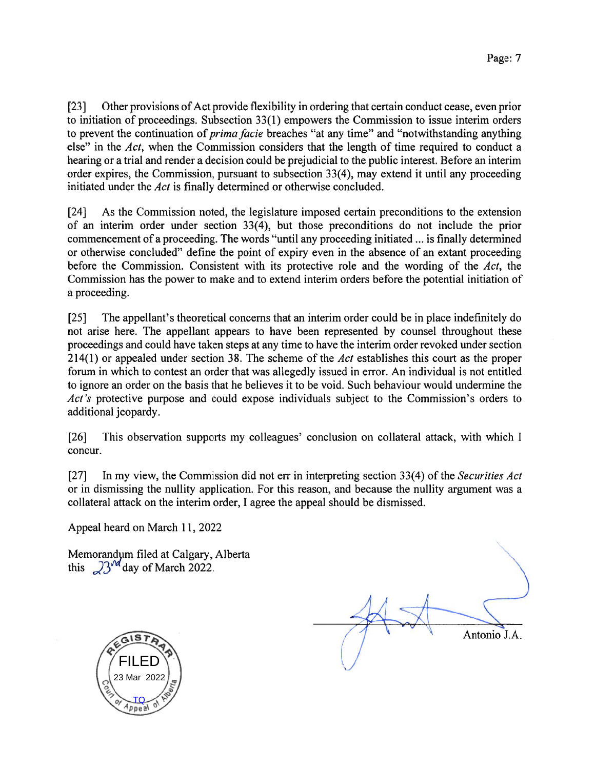[23] Other provisions of Act provide flexibility in ordering that certain conduct cease, even prior to initiation of proceedings. Subsection 33(1) empowers the Commission to issue interim orders to prevent the continuation of *prima facie* breaches "at any time" and "notwithstanding anything else" in the Act, when the Commission considers that the length of time required to conduct a hearing or <sup>a</sup> trial and render <sup>a</sup> decision could be prejudicial to the public interest. Before an interim order expires, the Commission, pursuan<sup>t</sup> to subsection 3 3(4), may extend it until any proceeding initiated under the Act is finally determined or otherwise concluded.

[24] As the Commission noted, the legislature imposed certain preconditions to the extension of an interim order under section  $33(4)$ , but those preconditions do not include the prior commencement of <sup>a</sup> proceeding. The words "until any proceeding initiated ... is finally determined or otherwise concluded" define the point of expiry even in the absence of an extant proceeding before the Commission. Consistent with its protective role and the wording of the Act, the Commission has the power to make and to extend interim orders before the potential initiation of <sup>a</sup> proceeding.

[25] The appellant's theoretical concerns that an interim order could be in place indefinitely do not arise here. The appellant appears to have been represented by counsel throughout these proceedings and could have taken steps at any time to have the interim order revoked under section 214(1) or appealed under section 38. The scheme of the Act establishes this court as the proper forum in which to contest an order that was allegedly issued in error. An individual is not entitled to ignore an order on the basis that he believes it to be void. Such behaviour would undermine the Act's protective purpose and could expose individuals subject to the Commission's orders to additional jeopardy.

[26] This observation supports my colleagues' conclusion on collateral attack, with which I concur.

[27] In my view, the Commission did not err in interpreting section 33(4) of the Securities Act or in dismissing the nullity application. For this reason, and because the nullity argumen<sup>t</sup> was <sup>a</sup> collateral attack on the interim order, I agree the appeal should be dismissed.

Appeal heard on March 11, 2022

Memorandym filed at Calgary, Alberta this  $23^{\text{nd}}$  day of March 2022.

Antonio J.A.